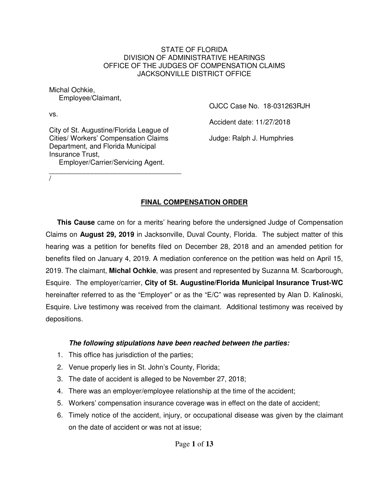#### STATE OF FLORIDA DIVISION OF ADMINISTRATIVE HEARINGS OFFICE OF THE JUDGES OF COMPENSATION CLAIMS JACKSONVILLE DISTRICT OFFICE

Michal Ochkie, Employee/Claimant,

vs.

/

City of St. Augustine/Florida League of Cities/ Workers' Compensation Claims Department, and Florida Municipal Insurance Trust, Employer/Carrier/Servicing Agent.

\_\_\_\_\_\_\_\_\_\_\_\_\_\_\_\_\_\_\_\_\_\_\_\_\_\_\_\_\_\_\_\_\_\_

OJCC Case No. 18-031263RJH

Accident date: 11/27/2018

Judge: Ralph J. Humphries

## **FINAL COMPENSATION ORDER**

**This Cause** came on for a merits' hearing before the undersigned Judge of Compensation Claims on **August 29, 2019** in Jacksonville, Duval County, Florida. The subject matter of this hearing was a petition for benefits filed on December 28, 2018 and an amended petition for benefits filed on January 4, 2019. A mediation conference on the petition was held on April 15, 2019. The claimant, **Michal Ochkie**, was present and represented by Suzanna M. Scarborough, Esquire. The employer/carrier, **City of St. Augustine/Florida Municipal Insurance Trust-WC**  hereinafter referred to as the "Employer" or as the "E/C" was represented by Alan D. Kalinoski, Esquire. Live testimony was received from the claimant. Additional testimony was received by depositions.

#### **The following stipulations have been reached between the parties:**

- 1. This office has jurisdiction of the parties;
- 2. Venue properly lies in St. John's County, Florida;
- 3. The date of accident is alleged to be November 27, 2018;
- 4. There was an employer/employee relationship at the time of the accident;
- 5. Workers' compensation insurance coverage was in effect on the date of accident;
- 6. Timely notice of the accident, injury, or occupational disease was given by the claimant on the date of accident or was not at issue;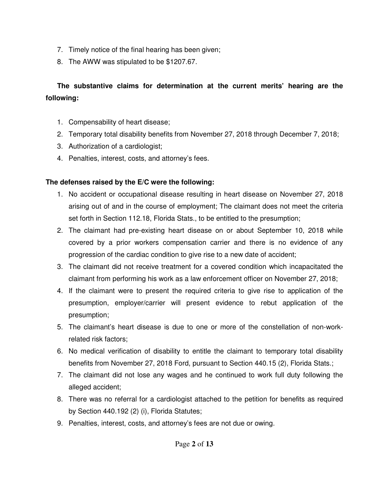- 7. Timely notice of the final hearing has been given;
- 8. The AWW was stipulated to be \$1207.67.

# **The substantive claims for determination at the current merits' hearing are the following:**

- 1. Compensability of heart disease;
- 2. Temporary total disability benefits from November 27, 2018 through December 7, 2018;
- 3. Authorization of a cardiologist;
- 4. Penalties, interest, costs, and attorney's fees.

## **The defenses raised by the E/C were the following:**

- 1. No accident or occupational disease resulting in heart disease on November 27, 2018 arising out of and in the course of employment; The claimant does not meet the criteria set forth in Section 112.18, Florida Stats., to be entitled to the presumption;
- 2. The claimant had pre-existing heart disease on or about September 10, 2018 while covered by a prior workers compensation carrier and there is no evidence of any progression of the cardiac condition to give rise to a new date of accident;
- 3. The claimant did not receive treatment for a covered condition which incapacitated the claimant from performing his work as a law enforcement officer on November 27, 2018;
- 4. If the claimant were to present the required criteria to give rise to application of the presumption, employer/carrier will present evidence to rebut application of the presumption;
- 5. The claimant's heart disease is due to one or more of the constellation of non-workrelated risk factors;
- 6. No medical verification of disability to entitle the claimant to temporary total disability benefits from November 27, 2018 Ford, pursuant to Section 440.15 (2), Florida Stats.;
- 7. The claimant did not lose any wages and he continued to work full duty following the alleged accident;
- 8. There was no referral for a cardiologist attached to the petition for benefits as required by Section 440.192 (2) (i), Florida Statutes;
- 9. Penalties, interest, costs, and attorney's fees are not due or owing.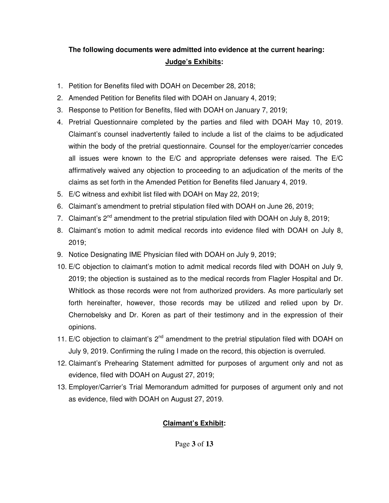## **The following documents were admitted into evidence at the current hearing: Judge's Exhibits:**

- 1. Petition for Benefits filed with DOAH on December 28, 2018;
- 2. Amended Petition for Benefits filed with DOAH on January 4, 2019;
- 3. Response to Petition for Benefits, filed with DOAH on January 7, 2019;
- 4. Pretrial Questionnaire completed by the parties and filed with DOAH May 10, 2019. Claimant's counsel inadvertently failed to include a list of the claims to be adjudicated within the body of the pretrial questionnaire. Counsel for the employer/carrier concedes all issues were known to the E/C and appropriate defenses were raised. The E/C affirmatively waived any objection to proceeding to an adjudication of the merits of the claims as set forth in the Amended Petition for Benefits filed January 4, 2019.
- 5. E/C witness and exhibit list filed with DOAH on May 22, 2019;
- 6. Claimant's amendment to pretrial stipulation filed with DOAH on June 26, 2019;
- 7. Claimant's  $2^{nd}$  amendment to the pretrial stipulation filed with DOAH on July 8, 2019;
- 8. Claimant's motion to admit medical records into evidence filed with DOAH on July 8, 2019;
- 9. Notice Designating IME Physician filed with DOAH on July 9, 2019;
- 10. E/C objection to claimant's motion to admit medical records filed with DOAH on July 9, 2019; the objection is sustained as to the medical records from Flagler Hospital and Dr. Whitlock as those records were not from authorized providers. As more particularly set forth hereinafter, however, those records may be utilized and relied upon by Dr. Chernobelsky and Dr. Koren as part of their testimony and in the expression of their opinions.
- 11. E/C objection to claimant's  $2^{nd}$  amendment to the pretrial stipulation filed with DOAH on July 9, 2019. Confirming the ruling I made on the record, this objection is overruled.
- 12. Claimant's Prehearing Statement admitted for purposes of argument only and not as evidence, filed with DOAH on August 27, 2019;
- 13. Employer/Carrier's Trial Memorandum admitted for purposes of argument only and not as evidence, filed with DOAH on August 27, 2019.

### **Claimant's Exhibit:**

Page **3** of **13**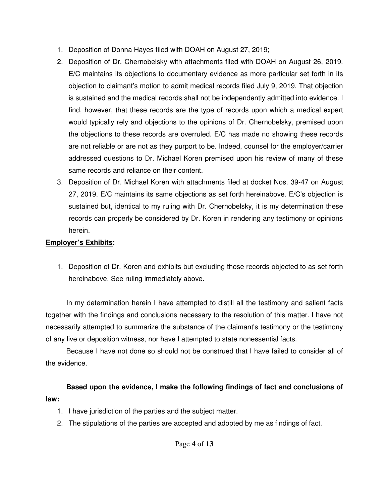- 1. Deposition of Donna Hayes filed with DOAH on August 27, 2019;
- 2. Deposition of Dr. Chernobelsky with attachments filed with DOAH on August 26, 2019. E/C maintains its objections to documentary evidence as more particular set forth in its objection to claimant's motion to admit medical records filed July 9, 2019. That objection is sustained and the medical records shall not be independently admitted into evidence. I find, however, that these records are the type of records upon which a medical expert would typically rely and objections to the opinions of Dr. Chernobelsky, premised upon the objections to these records are overruled. E/C has made no showing these records are not reliable or are not as they purport to be. Indeed, counsel for the employer/carrier addressed questions to Dr. Michael Koren premised upon his review of many of these same records and reliance on their content.
- 3. Deposition of Dr. Michael Koren with attachments filed at docket Nos. 39-47 on August 27, 2019. E/C maintains its same objections as set forth hereinabove. E/C's objection is sustained but, identical to my ruling with Dr. Chernobelsky, it is my determination these records can properly be considered by Dr. Koren in rendering any testimony or opinions herein.

## **Employer's Exhibits:**

1. Deposition of Dr. Koren and exhibits but excluding those records objected to as set forth hereinabove. See ruling immediately above.

In my determination herein I have attempted to distill all the testimony and salient facts together with the findings and conclusions necessary to the resolution of this matter. I have not necessarily attempted to summarize the substance of the claimant's testimony or the testimony of any live or deposition witness, nor have I attempted to state nonessential facts.

Because I have not done so should not be construed that I have failed to consider all of the evidence.

## **Based upon the evidence, I make the following findings of fact and conclusions of law:**

- 1. I have jurisdiction of the parties and the subject matter.
- 2. The stipulations of the parties are accepted and adopted by me as findings of fact.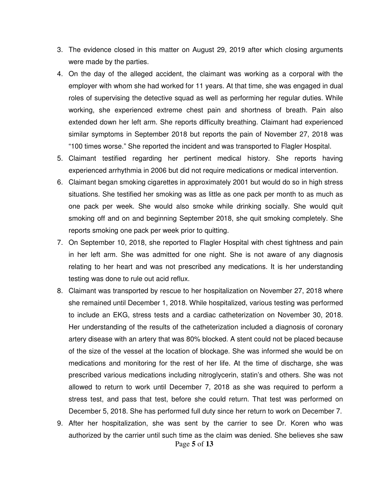- 3. The evidence closed in this matter on August 29, 2019 after which closing arguments were made by the parties.
- 4. On the day of the alleged accident, the claimant was working as a corporal with the employer with whom she had worked for 11 years. At that time, she was engaged in dual roles of supervising the detective squad as well as performing her regular duties. While working, she experienced extreme chest pain and shortness of breath. Pain also extended down her left arm. She reports difficulty breathing. Claimant had experienced similar symptoms in September 2018 but reports the pain of November 27, 2018 was "100 times worse." She reported the incident and was transported to Flagler Hospital.
- 5. Claimant testified regarding her pertinent medical history. She reports having experienced arrhythmia in 2006 but did not require medications or medical intervention.
- 6. Claimant began smoking cigarettes in approximately 2001 but would do so in high stress situations. She testified her smoking was as little as one pack per month to as much as one pack per week. She would also smoke while drinking socially. She would quit smoking off and on and beginning September 2018, she quit smoking completely. She reports smoking one pack per week prior to quitting.
- 7. On September 10, 2018, she reported to Flagler Hospital with chest tightness and pain in her left arm. She was admitted for one night. She is not aware of any diagnosis relating to her heart and was not prescribed any medications. It is her understanding testing was done to rule out acid reflux.
- 8. Claimant was transported by rescue to her hospitalization on November 27, 2018 where she remained until December 1, 2018. While hospitalized, various testing was performed to include an EKG, stress tests and a cardiac catheterization on November 30, 2018. Her understanding of the results of the catheterization included a diagnosis of coronary artery disease with an artery that was 80% blocked. A stent could not be placed because of the size of the vessel at the location of blockage. She was informed she would be on medications and monitoring for the rest of her life. At the time of discharge, she was prescribed various medications including nitroglycerin, statin's and others. She was not allowed to return to work until December 7, 2018 as she was required to perform a stress test, and pass that test, before she could return. That test was performed on December 5, 2018. She has performed full duty since her return to work on December 7.
- Page **5** of **13** 9. After her hospitalization, she was sent by the carrier to see Dr. Koren who was authorized by the carrier until such time as the claim was denied. She believes she saw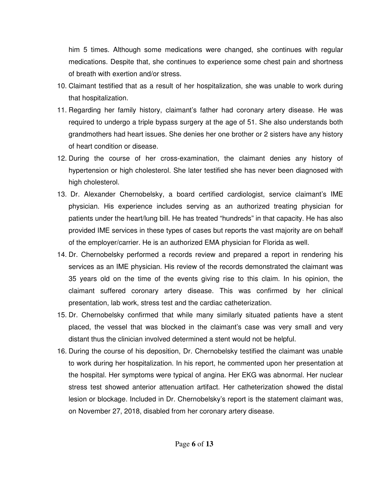him 5 times. Although some medications were changed, she continues with regular medications. Despite that, she continues to experience some chest pain and shortness of breath with exertion and/or stress.

- 10. Claimant testified that as a result of her hospitalization, she was unable to work during that hospitalization.
- 11. Regarding her family history, claimant's father had coronary artery disease. He was required to undergo a triple bypass surgery at the age of 51. She also understands both grandmothers had heart issues. She denies her one brother or 2 sisters have any history of heart condition or disease.
- 12. During the course of her cross-examination, the claimant denies any history of hypertension or high cholesterol. She later testified she has never been diagnosed with high cholesterol.
- 13. Dr. Alexander Chernobelsky, a board certified cardiologist, service claimant's IME physician. His experience includes serving as an authorized treating physician for patients under the heart/lung bill. He has treated "hundreds" in that capacity. He has also provided IME services in these types of cases but reports the vast majority are on behalf of the employer/carrier. He is an authorized EMA physician for Florida as well.
- 14. Dr. Chernobelsky performed a records review and prepared a report in rendering his services as an IME physician. His review of the records demonstrated the claimant was 35 years old on the time of the events giving rise to this claim. In his opinion, the claimant suffered coronary artery disease. This was confirmed by her clinical presentation, lab work, stress test and the cardiac catheterization.
- 15. Dr. Chernobelsky confirmed that while many similarly situated patients have a stent placed, the vessel that was blocked in the claimant's case was very small and very distant thus the clinician involved determined a stent would not be helpful.
- 16. During the course of his deposition, Dr. Chernobelsky testified the claimant was unable to work during her hospitalization. In his report, he commented upon her presentation at the hospital. Her symptoms were typical of angina. Her EKG was abnormal. Her nuclear stress test showed anterior attenuation artifact. Her catheterization showed the distal lesion or blockage. Included in Dr. Chernobelsky's report is the statement claimant was, on November 27, 2018, disabled from her coronary artery disease.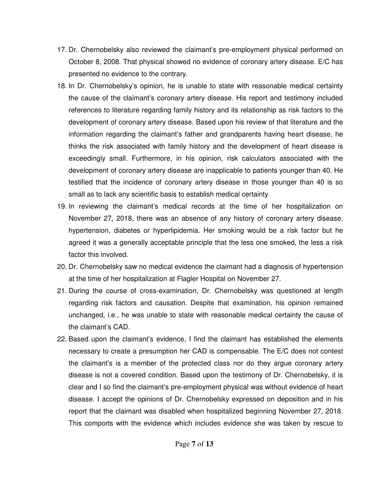- 17. Dr. Chernobelsky also reviewed the claimant's pre-employment physical performed on October 8, 2008. That physical showed no evidence of coronary artery disease. E/C has presented no evidence to the contrary.
- 18. In Dr. Chernobelsky's opinion, he is unable to state with reasonable medical certainty the cause of the claimant's coronary artery disease. His report and testimony included references to literature regarding family history and its relationship as risk factors to the development of coronary artery disease. Based upon his review of that literature and the information regarding the claimant's father and grandparents having heart disease, he thinks the risk associated with family history and the development of heart disease is exceedingly small. Furthermore, in his opinion, risk calculators associated with the development of coronary artery disease are inapplicable to patients younger than 40. He testified that the incidence of coronary artery disease in those younger than 40 is so small as to lack any scientific basis to establish medical certainty.
- 19. In reviewing the claimant's medical records at the time of her hospitalization on November 27, 2018, there was an absence of any history of coronary artery disease, hypertension, diabetes or hyperlipidemia. Her smoking would be a risk factor but he agreed it was a generally acceptable principle that the less one smoked, the less a risk factor this involved.
- 20. Dr. Chernobelsky saw no medical evidence the claimant had a diagnosis of hypertension at the time of her hospitalization at Flagler Hospital on November 27.
- 21. During the course of cross-examination, Dr. Chernobelsky was questioned at length regarding risk factors and causation. Despite that examination, his opinion remained unchanged, i.e., he was unable to state with reasonable medical certainty the cause of the claimant's CAD.
- 22. Based upon the claimant's evidence, I find the claimant has established the elements necessary to create a presumption her CAD is compensable. The E/C does not contest the claimant's is a member of the protected class nor do they argue coronary artery disease is not a covered condition. Based upon the testimony of Dr. Chernobelsky, it is clear and I so find the claimant's pre-employment physical was without evidence of heart disease. I accept the opinions of Dr. Chernobelsky expressed on deposition and in his report that the claimant was disabled when hospitalized beginning November 27, 2018. This comports with the evidence which includes evidence she was taken by rescue to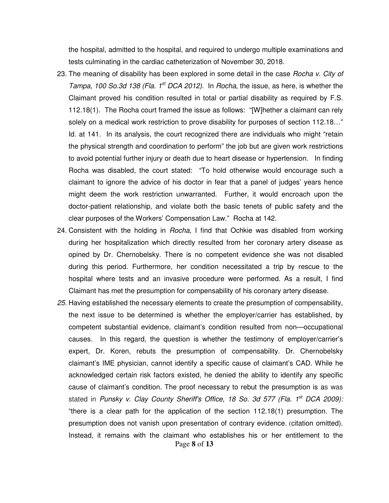the hospital, admitted to the hospital, and required to undergo multiple examinations and tests culminating in the cardiac catheterization of November 30, 2018.

- 23. The meaning of disability has been explored in some detail in the case *Rocha v. City of* Tampa, 100 So.3d 138 (Fla. 1<sup>st</sup> DCA 2012). In Rocha, the issue, as here, is whether the Claimant proved his condition resulted in total or partial disability as required by F.S. 112.18(1). The Rocha court framed the issue as follows: "[W]hether a claimant can rely solely on a medical work restriction to prove disability for purposes of section 112.18…" Id. at 141. In its analysis, the court recognized there are individuals who might "retain the physical strength and coordination to perform" the job but are given work restrictions to avoid potential further injury or death due to heart disease or hypertension. In finding Rocha was disabled, the court stated: "To hold otherwise would encourage such a claimant to ignore the advice of his doctor in fear that a panel of judges' years hence might deem the work restriction unwarranted. Further, it would encroach upon the doctor-patient relationship, and violate both the basic tenets of public safety and the clear purposes of the Workers' Compensation Law." Rocha at 142.
- 24. Consistent with the holding in Rocha, I find that Ochkie was disabled from working during her hospitalization which directly resulted from her coronary artery disease as opined by Dr. Chernobelsky. There is no competent evidence she was not disabled during this period. Furthermore, her condition necessitated a trip by rescue to the hospital where tests and an invasive procedure were performed. As a result, I find Claimant has met the presumption for compensability of his coronary artery disease.
- Page **8** of **13** 25. Having established the necessary elements to create the presumption of compensability, the next issue to be determined is whether the employer/carrier has established, by competent substantial evidence, claimant's condition resulted from non—occupational causes. In this regard, the question is whether the testimony of employer/carrier's expert, Dr. Koren, rebuts the presumption of compensability. Dr. Chernobelsky claimant's IME physician, cannot identify a specific cause of claimant's CAD. While he acknowledged certain risk factors existed, he denied the ability to identify any specific cause of claimant's condition. The proof necessary to rebut the presumption is as was stated in Punsky v. Clay County Sheriff's Office, 18 So. 3d 577 (Fla. 1<sup>st</sup> DCA 2009): "there is a clear path for the application of the section 112.18(1) presumption. The presumption does not vanish upon presentation of contrary evidence. (citation omitted). Instead, it remains with the claimant who establishes his or her entitlement to the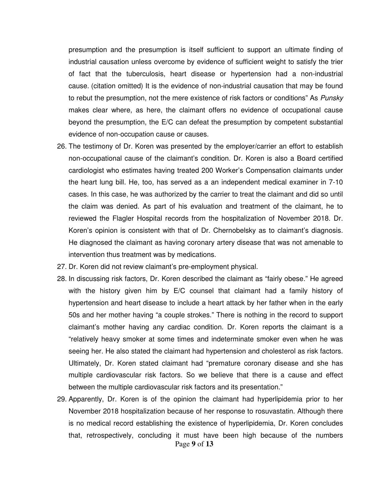presumption and the presumption is itself sufficient to support an ultimate finding of industrial causation unless overcome by evidence of sufficient weight to satisfy the trier of fact that the tuberculosis, heart disease or hypertension had a non-industrial cause. (citation omitted) It is the evidence of non-industrial causation that may be found to rebut the presumption, not the mere existence of risk factors or conditions" As Punsky makes clear where, as here, the claimant offers no evidence of occupational cause beyond the presumption, the E/C can defeat the presumption by competent substantial evidence of non-occupation cause or causes.

- 26. The testimony of Dr. Koren was presented by the employer/carrier an effort to establish non-occupational cause of the claimant's condition. Dr. Koren is also a Board certified cardiologist who estimates having treated 200 Worker's Compensation claimants under the heart lung bill. He, too, has served as a an independent medical examiner in 7-10 cases. In this case, he was authorized by the carrier to treat the claimant and did so until the claim was denied. As part of his evaluation and treatment of the claimant, he to reviewed the Flagler Hospital records from the hospitalization of November 2018. Dr. Koren's opinion is consistent with that of Dr. Chernobelsky as to claimant's diagnosis. He diagnosed the claimant as having coronary artery disease that was not amenable to intervention thus treatment was by medications.
- 27. Dr. Koren did not review claimant's pre-employment physical.
- 28. In discussing risk factors, Dr. Koren described the claimant as "fairly obese." He agreed with the history given him by E/C counsel that claimant had a family history of hypertension and heart disease to include a heart attack by her father when in the early 50s and her mother having "a couple strokes." There is nothing in the record to support claimant's mother having any cardiac condition. Dr. Koren reports the claimant is a "relatively heavy smoker at some times and indeterminate smoker even when he was seeing her. He also stated the claimant had hypertension and cholesterol as risk factors. Ultimately, Dr. Koren stated claimant had "premature coronary disease and she has multiple cardiovascular risk factors. So we believe that there is a cause and effect between the multiple cardiovascular risk factors and its presentation."
- Page **9** of **13** 29. Apparently, Dr. Koren is of the opinion the claimant had hyperlipidemia prior to her November 2018 hospitalization because of her response to rosuvastatin. Although there is no medical record establishing the existence of hyperlipidemia, Dr. Koren concludes that, retrospectively, concluding it must have been high because of the numbers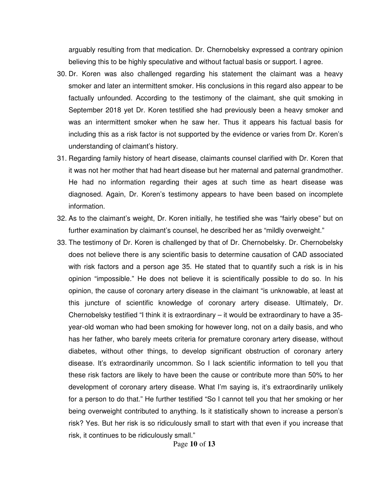arguably resulting from that medication. Dr. Chernobelsky expressed a contrary opinion believing this to be highly speculative and without factual basis or support. I agree.

- 30. Dr. Koren was also challenged regarding his statement the claimant was a heavy smoker and later an intermittent smoker. His conclusions in this regard also appear to be factually unfounded. According to the testimony of the claimant, she quit smoking in September 2018 yet Dr. Koren testified she had previously been a heavy smoker and was an intermittent smoker when he saw her. Thus it appears his factual basis for including this as a risk factor is not supported by the evidence or varies from Dr. Koren's understanding of claimant's history.
- 31. Regarding family history of heart disease, claimants counsel clarified with Dr. Koren that it was not her mother that had heart disease but her maternal and paternal grandmother. He had no information regarding their ages at such time as heart disease was diagnosed. Again, Dr. Koren's testimony appears to have been based on incomplete information.
- 32. As to the claimant's weight, Dr. Koren initially, he testified she was "fairly obese" but on further examination by claimant's counsel, he described her as "mildly overweight."
- 33. The testimony of Dr. Koren is challenged by that of Dr. Chernobelsky. Dr. Chernobelsky does not believe there is any scientific basis to determine causation of CAD associated with risk factors and a person age 35. He stated that to quantify such a risk is in his opinion "impossible." He does not believe it is scientifically possible to do so. In his opinion, the cause of coronary artery disease in the claimant "is unknowable, at least at this juncture of scientific knowledge of coronary artery disease. Ultimately, Dr. Chernobelsky testified "I think it is extraordinary – it would be extraordinary to have a 35 year-old woman who had been smoking for however long, not on a daily basis, and who has her father, who barely meets criteria for premature coronary artery disease, without diabetes, without other things, to develop significant obstruction of coronary artery disease. It's extraordinarily uncommon. So I lack scientific information to tell you that these risk factors are likely to have been the cause or contribute more than 50% to her development of coronary artery disease. What I'm saying is, it's extraordinarily unlikely for a person to do that." He further testified "So I cannot tell you that her smoking or her being overweight contributed to anything. Is it statistically shown to increase a person's risk? Yes. But her risk is so ridiculously small to start with that even if you increase that risk, it continues to be ridiculously small."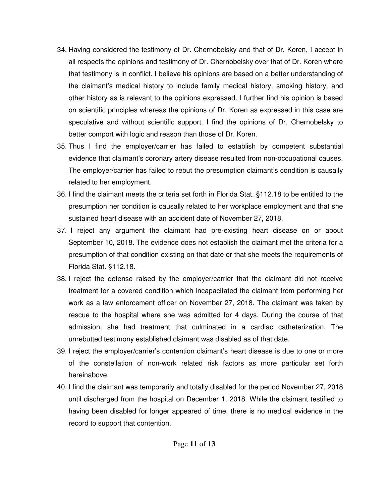- 34. Having considered the testimony of Dr. Chernobelsky and that of Dr. Koren, I accept in all respects the opinions and testimony of Dr. Chernobelsky over that of Dr. Koren where that testimony is in conflict. I believe his opinions are based on a better understanding of the claimant's medical history to include family medical history, smoking history, and other history as is relevant to the opinions expressed. I further find his opinion is based on scientific principles whereas the opinions of Dr. Koren as expressed in this case are speculative and without scientific support. I find the opinions of Dr. Chernobelsky to better comport with logic and reason than those of Dr. Koren.
- 35. Thus I find the employer/carrier has failed to establish by competent substantial evidence that claimant's coronary artery disease resulted from non-occupational causes. The employer/carrier has failed to rebut the presumption claimant's condition is causally related to her employment.
- 36. I find the claimant meets the criteria set forth in Florida Stat. §112.18 to be entitled to the presumption her condition is causally related to her workplace employment and that she sustained heart disease with an accident date of November 27, 2018.
- 37. I reject any argument the claimant had pre-existing heart disease on or about September 10, 2018. The evidence does not establish the claimant met the criteria for a presumption of that condition existing on that date or that she meets the requirements of Florida Stat. §112.18.
- 38. I reject the defense raised by the employer/carrier that the claimant did not receive treatment for a covered condition which incapacitated the claimant from performing her work as a law enforcement officer on November 27, 2018. The claimant was taken by rescue to the hospital where she was admitted for 4 days. During the course of that admission, she had treatment that culminated in a cardiac catheterization. The unrebutted testimony established claimant was disabled as of that date.
- 39. I reject the employer/carrier's contention claimant's heart disease is due to one or more of the constellation of non-work related risk factors as more particular set forth hereinabove.
- 40. I find the claimant was temporarily and totally disabled for the period November 27, 2018 until discharged from the hospital on December 1, 2018. While the claimant testified to having been disabled for longer appeared of time, there is no medical evidence in the record to support that contention.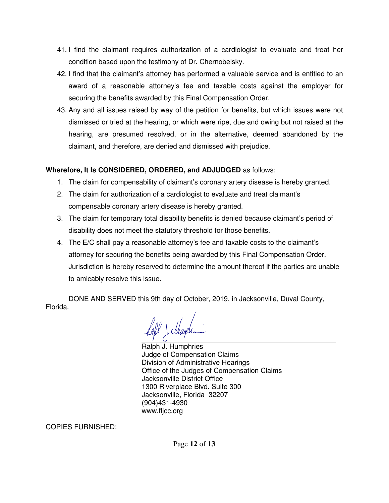- 41. I find the claimant requires authorization of a cardiologist to evaluate and treat her condition based upon the testimony of Dr. Chernobelsky.
- 42. I find that the claimant's attorney has performed a valuable service and is entitled to an award of a reasonable attorney's fee and taxable costs against the employer for securing the benefits awarded by this Final Compensation Order.
- 43. Any and all issues raised by way of the petition for benefits, but which issues were not dismissed or tried at the hearing, or which were ripe, due and owing but not raised at the hearing, are presumed resolved, or in the alternative, deemed abandoned by the claimant, and therefore, are denied and dismissed with prejudice.

### **Wherefore, It Is CONSIDERED, ORDERED, and ADJUDGED** as follows:

- 1. The claim for compensability of claimant's coronary artery disease is hereby granted.
- 2. The claim for authorization of a cardiologist to evaluate and treat claimant's compensable coronary artery disease is hereby granted.
- 3. The claim for temporary total disability benefits is denied because claimant's period of disability does not meet the statutory threshold for those benefits.
- 4. The E/C shall pay a reasonable attorney's fee and taxable costs to the claimant's attorney for securing the benefits being awarded by this Final Compensation Order. Jurisdiction is hereby reserved to determine the amount thereof if the parties are unable to amicably resolve this issue.

DONE AND SERVED this 9th day of October, 2019, in Jacksonville, Duval County, Florida.

ahl \ Suuele

Ralph J. Humphries Judge of Compensation Claims Division of Administrative Hearings Office of the Judges of Compensation Claims Jacksonville District Office 1300 Riverplace Blvd. Suite 300 Jacksonville, Florida 32207 (904)431-4930 www.fljcc.org

COPIES FURNISHED: